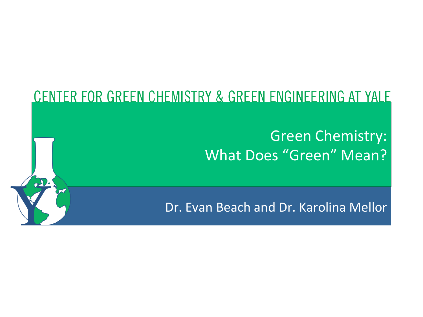# CENTER FOR GREEN CHEMISTRY & GREEN ENGINEERING AT YALE Green Chemistry: What Does "Green" Mean? Dr. Evan Beach and Dr. Karolina Mellor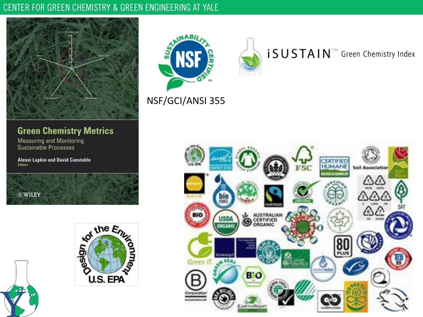#### CENTER FOR GREEN CHEMISTRY & GREEN ENGINEERING AT YALE



**MAAH** 

#### NSF/GCI/ANSI 355

i S U S T A I N ™ Green Chemistry Index



**Green Chemistry Metrics** 

**Measuring and Monitoring**<br>Sustainable Processes

**Alexei Lapkin and David Constable**<br>**Editors** 

**WILEY** 

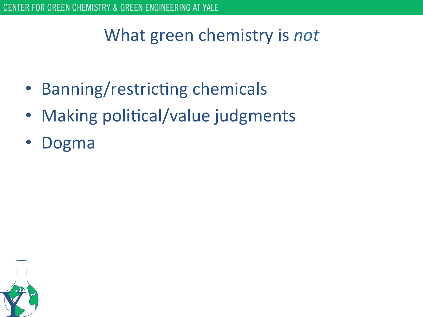# What green chemistry is *not*

- Banning/restricting chemicals
- Making political/value judgments
- Dogma

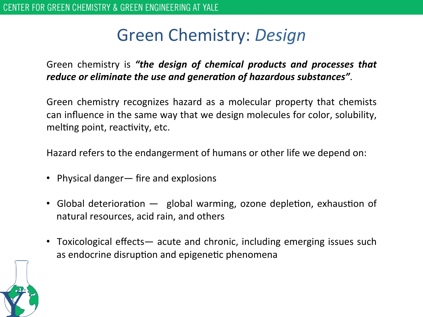#### Green Chemistry: *Design*

Green chemistry is "the design of chemical products and processes that *reduce* or eliminate the use and generation of hazardous substances".

Green chemistry recognizes hazard as a molecular property that chemists can influence in the same way that we design molecules for color, solubility, melting point, reactivity, etc.

Hazard refers to the endangerment of humans or other life we depend on:

- Physical danger— fire and explosions
- Global deterioration  $-$  global warming, ozone depletion, exhaustion of natural resources, acid rain, and others
- Toxicological effects— acute and chronic, including emerging issues such as endocrine disruption and epigenetic phenomena

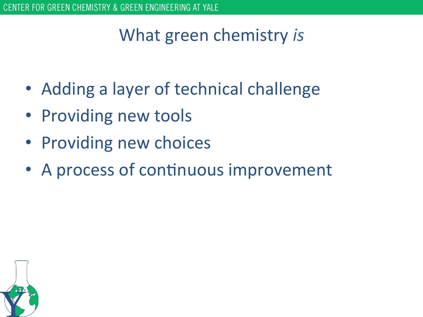# What green chemistry *is*

- Adding a layer of technical challenge
- Providing new tools
- Providing new choices
- A process of continuous improvement

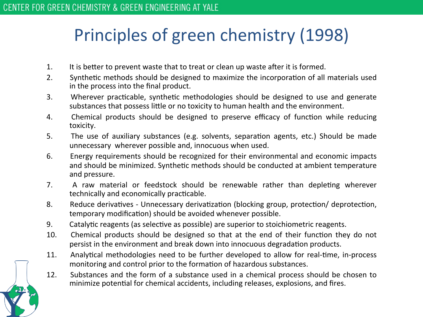# Principles of green chemistry (1998)

- 1. It is better to prevent waste that to treat or clean up waste after it is formed.
- 2. Synthetic methods should be designed to maximize the incorporation of all materials used in the process into the final product.
- 3. Wherever practicable, synthetic methodologies should be designed to use and generate substances that possess little or no toxicity to human health and the environment.
- 4. Chemical products should be designed to preserve efficacy of function while reducing toxicity.
- 5. The use of auxiliary substances (e.g. solvents, separation agents, etc.) Should be made unnecessary wherever possible and, innocuous when used.
- 6. Energy requirements should be recognized for their environmental and economic impacts and should be minimized. Synthetic methods should be conducted at ambient temperature and pressure.
- 7. A raw material or feedstock should be renewable rather than depleting wherever technically and economically practicable.
- 8. Reduce derivatives Unnecessary derivatization (blocking group, protection/ deprotection, temporary modification) should be avoided whenever possible.
- 9. Catalytic reagents (as selective as possible) are superior to stoichiometric reagents.
- 10. Chemical products should be designed so that at the end of their function they do not persist in the environment and break down into innocuous degradation products.
- 11. Analytical methodologies need to be further developed to allow for real-time, in-process monitoring and control prior to the formation of hazardous substances.
- 12. Substances and the form of a substance used in a chemical process should be chosen to minimize potential for chemical accidents, including releases, explosions, and fires.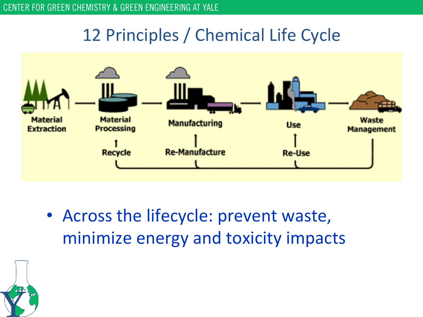

• Across the lifecycle: prevent waste, minimize energy and toxicity impacts

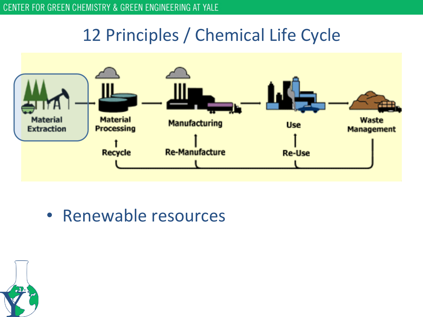

• Renewable resources

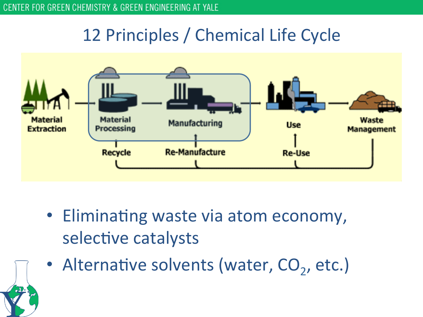

- Eliminating waste via atom economy, selective catalysts
- Alternative solvents (water,  $CO<sub>2</sub>$ , etc.)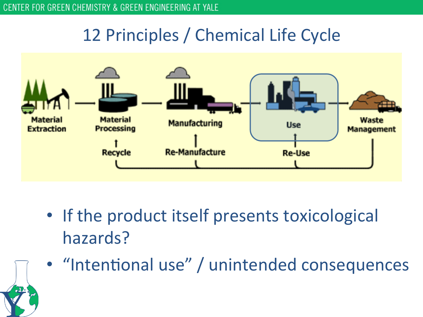

- If the product itself presents toxicological hazards?
- "Intentional use" / unintended consequences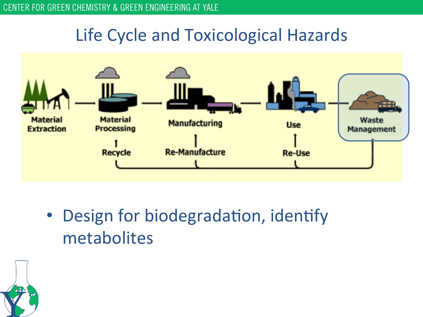# Life Cycle and Toxicological Hazards



• Design for biodegradation, identify metabolites 

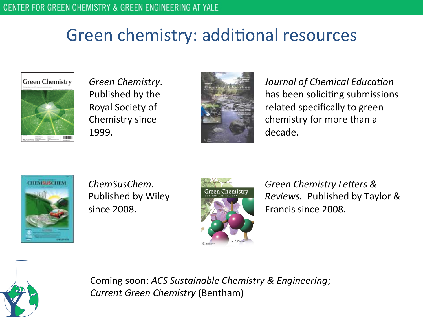# Green chemistry: additional resources



*Green Chemistry*. Published by the Royal Society of Chemistry since 1999.



*Journal of Chemical Education* has been soliciting submissions related specifically to green chemistry for more than a decade.



*ChemSusChem*. Published by Wiley since 2008.



**Green Chemistry Letters &** *Reviews.* Published by Taylor & Francis since 2008.



Coming soon: *ACS Sustainable Chemistry & Engineering*; *Current Green Chemistry* (Bentham)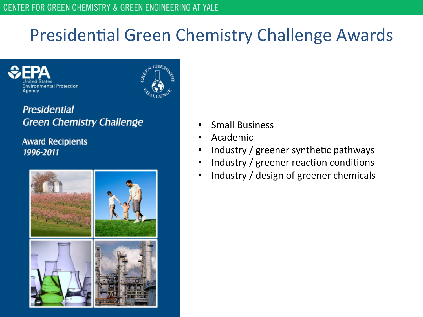# Presidential Green Chemistry Challenge Awards





**Presidential Green Chemistry Challenge** 

**Award Recipients** 1996-2011



- **Small Business**
- Academic
- Industry / greener synthetic pathways
- Industry / greener reaction conditions
- Industry / design of greener chemicals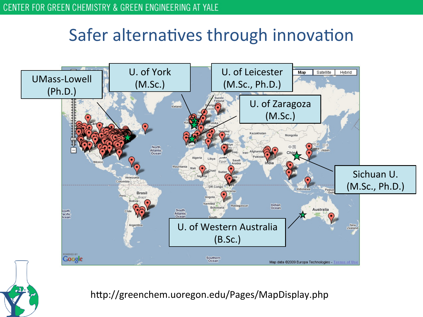# Safer alternatives through innovation



h^p://greenchem.uoregon.edu/Pages/MapDisplay.php